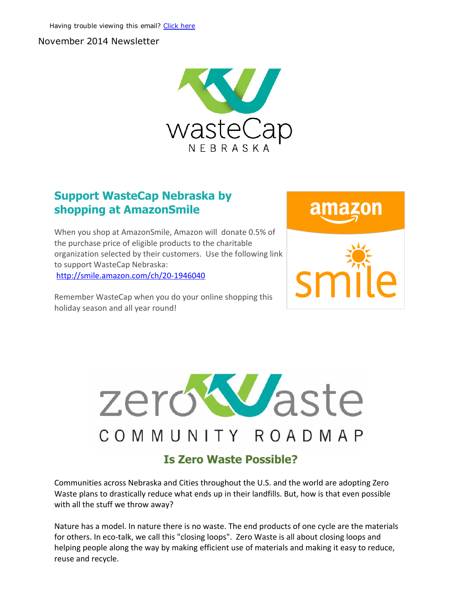#### November 2014 Newsletter



## Support WasteCap Nebraska by shopping at AmazonSmile

When you shop at AmazonSmile, Amazon will donate 0.5% of the purchase price of eligible products to the charitable organization selected by their customers. Use the following link to support WasteCap Nebraska: [http://smile.amazon.com/ch/20‐1946040](http://r20.rs6.net/tn.jsp?e=001xKK_Y2DXleNYuY71noy-jtkra94hSq6dE2mDaDUGOVx3c1mW-AFGs6F6neSFNbwFyKlefootN8rb-UQAvIIERhcdkXWdU-u2-GZHkGVxAGaICZG_2jWUw4IN3x576z-q)

Remember WasteCap when you do your online shopping this holiday season and all year round!





Communities across Nebraska and Cities throughout the U.S. and the world are adopting Zero Waste plans to drastically reduce what ends up in their landfills. But, how is that even possible with all the stuff we throw away?

Nature has a model. In nature there is no waste. The end products of one cycle are the materials for others. In eco-talk, we call this "closing loops". Zero Waste is all about closing loops and helping people along the way by making efficient use of materials and making it easy to reduce, reuse and recycle.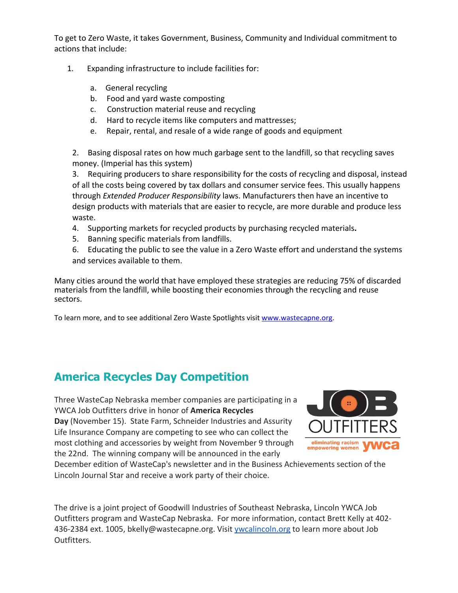To get to Zero Waste, it takes Government, Business, Community and Individual commitment to actions that include:

- 1. Expanding infrastructure to include facilities for:
	- a. General recycling
	- b. Food and yard waste composting
	- c. Construction material reuse and recycling
	- d. Hard to recycle items like computers and mattresses;
	- e. Repair, rental, and resale of a wide range of goods and equipment

2. Basing disposal rates on how much garbage sent to the landfill, so that recycling saves money. (Imperial has this system)

3. Requiring producers to share responsibility for the costs of recycling and disposal, instead of all the costs being covered by tax dollars and consumer service fees. This usually happens through *Extended Producer Responsibility* laws. Manufacturers then have an incentive to design products with materials that are easier to recycle, are more durable and produce less waste.

- 4. Supporting markets for recycled products by purchasing recycled materials.
- 5. Banning specific materials from landfills.

6. Educating the public to see the value in a Zero Waste effort and understand the systems and services available to them.

Many cities around the world that have employed these strategies are reducing 75% of discarded materials from the landfill, while boosting their economies through the recycling and reuse sectors.

To learn more, and to see additional Zero Waste Spotlights visit [www.wastecapne.org.](http://r20.rs6.net/tn.jsp?e=001xKK_Y2DXleNYuY71noy-jtkra94hSq6dE2mDaDUGOVx3c1mW-AFGs6F6neSFNbwFyKlefootN8puFZPxm4tsYO3wCS-vVY_vYxE4F_RoyxA=)

# America Recycles Day Competition

Three WasteCap Nebraska member companies are participating in a YWCA Job Outfitters drive in honor of America Recycles Day (November 15). State Farm, Schneider Industries and Assurity Life Insurance Company are competing to see who can collect the most clothing and accessories by weight from November 9 through the 22nd. The winning company will be announced in the early



December edition of WasteCap's newsletter and in the Business Achievements section of the Lincoln Journal Star and receive a work party of their choice.

The drive is a joint project of Goodwill Industries of Southeast Nebraska, Lincoln YWCA Job Outfitters program and WasteCap Nebraska. For more information, contact Brett Kelly at 402‐ 436‐2384 ext. 1005, bkelly@wastecapne.org. Visit [ywcalincoln.org](http://r20.rs6.net/tn.jsp?e=001xKK_Y2DXleNYuY71noy-jtkra94hSq6dE2mDaDUGOVx3c1mW-AFGs6F6neSFNbwFyKlefootN8qiPvzScZW6owSwxrl9zhG0Ajcr0PPRA6I=) to learn more about Job Outfitters.